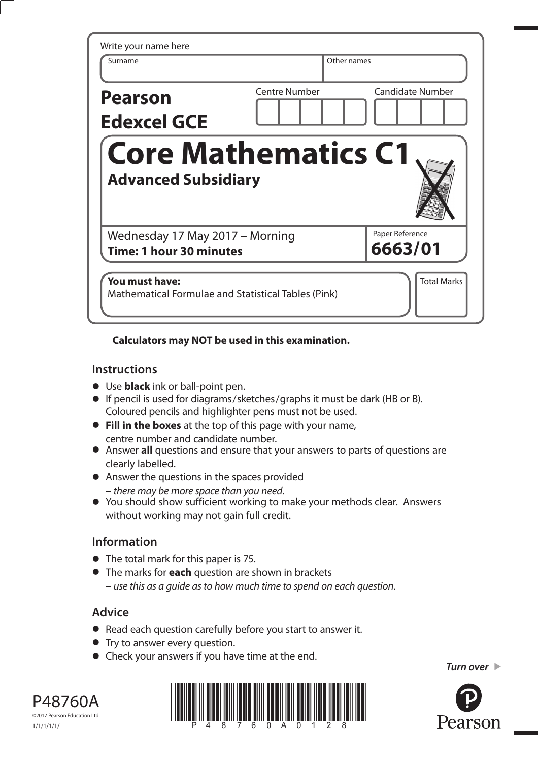| Surname                                                    | Other names          |                            |
|------------------------------------------------------------|----------------------|----------------------------|
| <b>Pearson</b><br><b>Edexcel GCE</b>                       | <b>Centre Number</b> | <b>Candidate Number</b>    |
| <b>Core Mathematics C1</b><br><b>Advanced Subsidiary</b>   |                      |                            |
|                                                            |                      |                            |
| Wednesday 17 May 2017 - Morning<br>Time: 1 hour 30 minutes |                      | Paper Reference<br>6663/01 |

### **Calculators may NOT be used in this examination.**

### **Instructions**

- Use **black** ink or ball-point pen.
- If pencil is used for diagrams/sketches/graphs it must be dark (HB or B). Coloured pencils and highlighter pens must not be used.
- **Fill in the boxes** at the top of this page with your name, centre number and candidate number.
- Answer **all** questions and ensure that your answers to parts of questions are clearly labelled.
- Answer the questions in the spaces provided – there may be more space than you need.
- You should show sufficient working to make your methods clear. Answers without working may not gain full credit.

## **Information**

- The total mark for this paper is 75.
- The marks for **each** question are shown in brackets – use this as a guide as to how much time to spend on each question.

# **Advice**

- **Advice**<br>● Read each question carefully before you start to answer it.
- Read each question carefully<br>• Try to answer every question.
- **•** Try to answer every question.<br>• Check your answers if you have time at the end.

©2017 Pearson Education Ltd. 1/1/1/1/1/



*Turn over* 

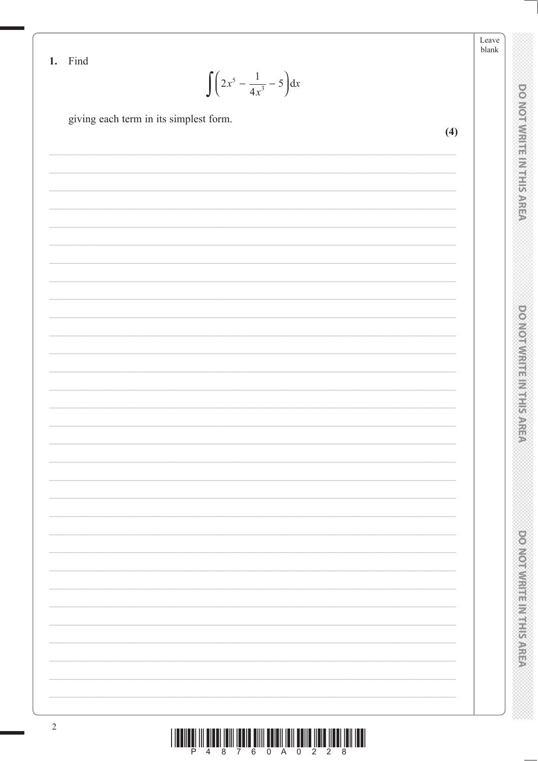Leave blank

DO NOTWRITE IN THIS AREA

**DO NOTWRITE MITHS AREA** 

**DOMOTWRITE MITHIEAREA** 

1. Find

 $\int \left(2x^5 - \frac{1}{4x^3} - 5\right) dx$ 

giving each term in its simplest form.

 $(4)$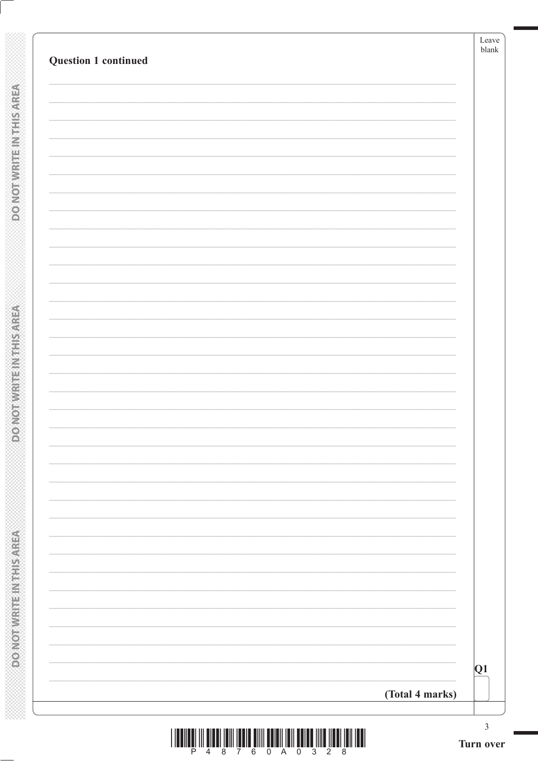| Q1 |  |  |
|----|--|--|
|    |  |  |
|    |  |  |
|    |  |  |
|    |  |  |
|    |  |  |
|    |  |  |
|    |  |  |
|    |  |  |
|    |  |  |
|    |  |  |
|    |  |  |
|    |  |  |
|    |  |  |
|    |  |  |
|    |  |  |
|    |  |  |
|    |  |  |
|    |  |  |
|    |  |  |
|    |  |  |
|    |  |  |
|    |  |  |
|    |  |  |
|    |  |  |
|    |  |  |
|    |  |  |
|    |  |  |
|    |  |  |
|    |  |  |
|    |  |  |

**DOMOTWRITEINTHIS AREA** 

**ASSING THE IN THIS AREA**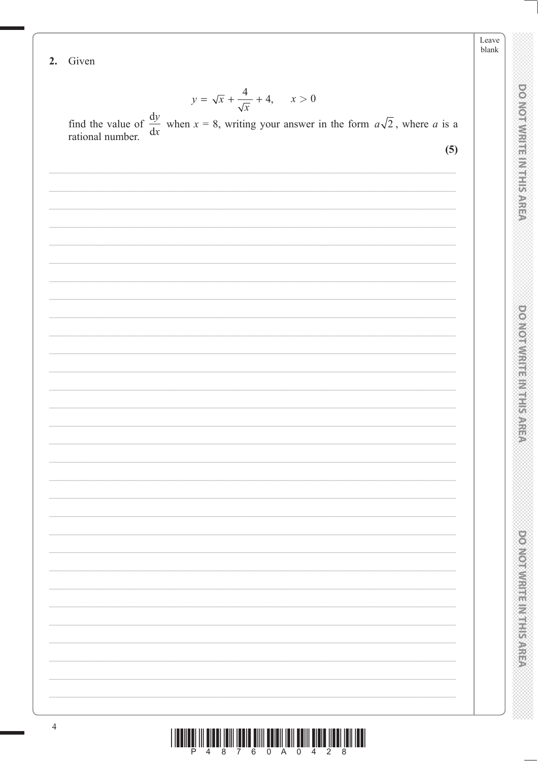Leave blank

**DOMOINMENT HAIR SARRA** 

**DO NOTWRITE IN THIS AREA** 

**DONOINNESS NESS AREA** 

2. Given

$$
y = \sqrt{x} + \frac{4}{\sqrt{x}} + 4, \quad x > 0
$$

 $\frac{\sqrt{x}}{\sqrt{x}}$  find the value of  $\frac{dy}{dx}$  when  $x = 8$ , writing your answer in the form  $a\sqrt{2}$ , where a is a rational number.

 $(5)$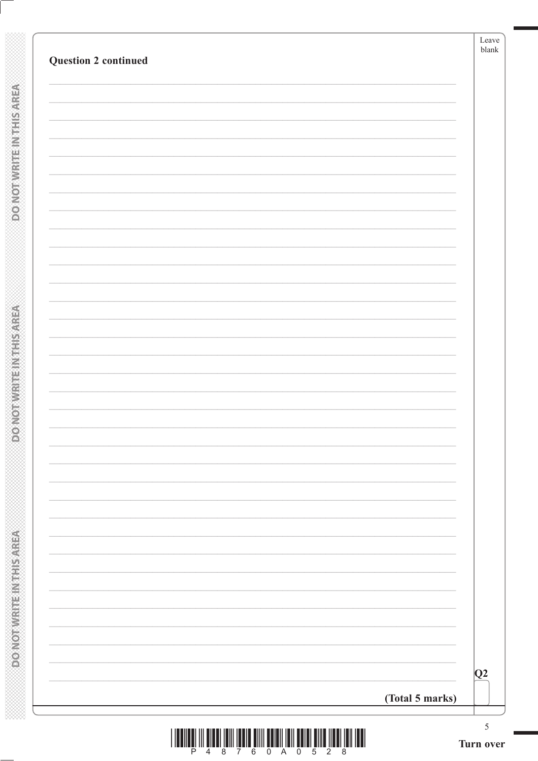| <b>Question 2 continued</b> |                 |
|-----------------------------|-----------------|
|                             |                 |
|                             |                 |
|                             |                 |
|                             |                 |
|                             |                 |
|                             |                 |
|                             |                 |
|                             |                 |
|                             |                 |
|                             |                 |
|                             |                 |
|                             |                 |
|                             |                 |
|                             |                 |
|                             |                 |
|                             |                 |
|                             |                 |
|                             |                 |
|                             |                 |
|                             |                 |
|                             | Q2              |
|                             | (Total 5 marks) |

**DONOTWRITEINTHISAREA** 

**EXECUTIVE IN THE AREA**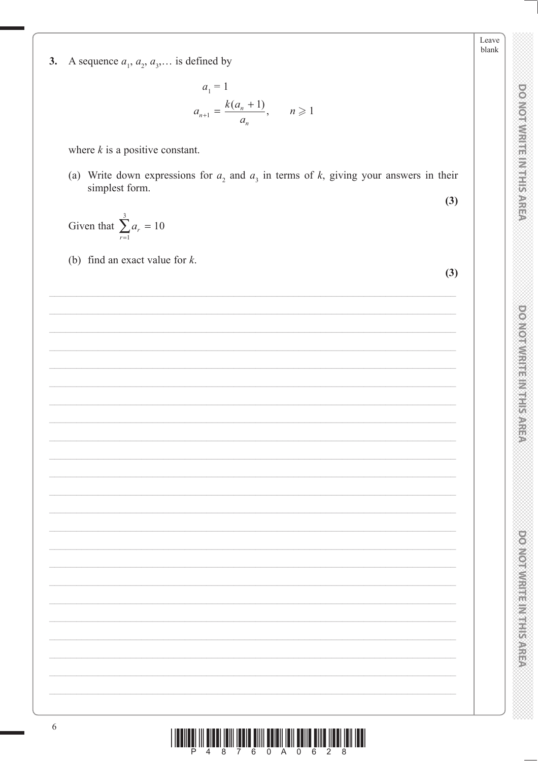A sequence  $a_1, a_2, a_3, \dots$  is defined by  $3.$ 

$$
a_1 = 1
$$
  

$$
a_{n+1} = \frac{k(a_n + 1)}{a_n}, \qquad n \ge 1
$$

where  $k$  is a positive constant.

(a) Write down expressions for  $a_2$  and  $a_3$  in terms of k, giving your answers in their simplest form.

Given that  $\sum_{r=1}^{3} a_r = 10$ 

(b) find an exact value for  $k$ .

 $(3)$ 

 $(3)$ 

**DONOTWRITE INTERAREA** 

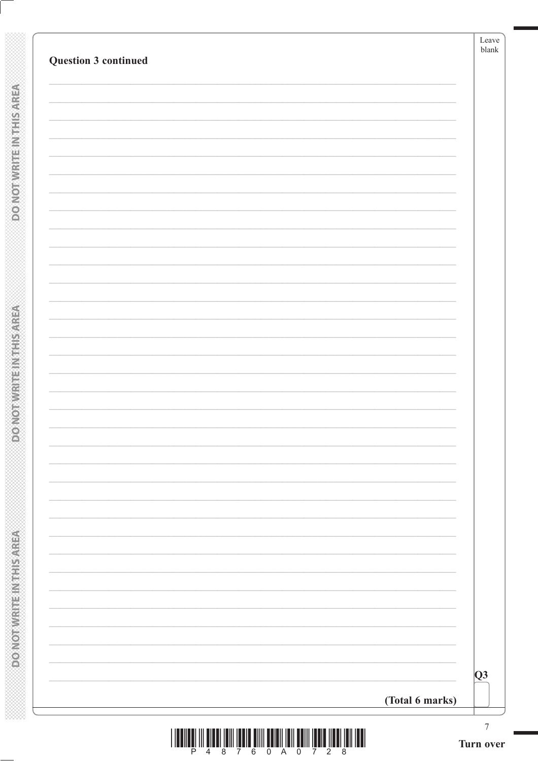| (Total 6 marks)             | Q3    |  |
|-----------------------------|-------|--|
|                             |       |  |
|                             |       |  |
|                             |       |  |
|                             |       |  |
|                             |       |  |
|                             |       |  |
|                             |       |  |
|                             |       |  |
|                             |       |  |
|                             |       |  |
|                             |       |  |
|                             |       |  |
|                             |       |  |
|                             |       |  |
| <b>Question 3 continued</b> | blank |  |

**DONOTWRITEINTHISAREA** 

**DONOTWRITEIN THIS AREA**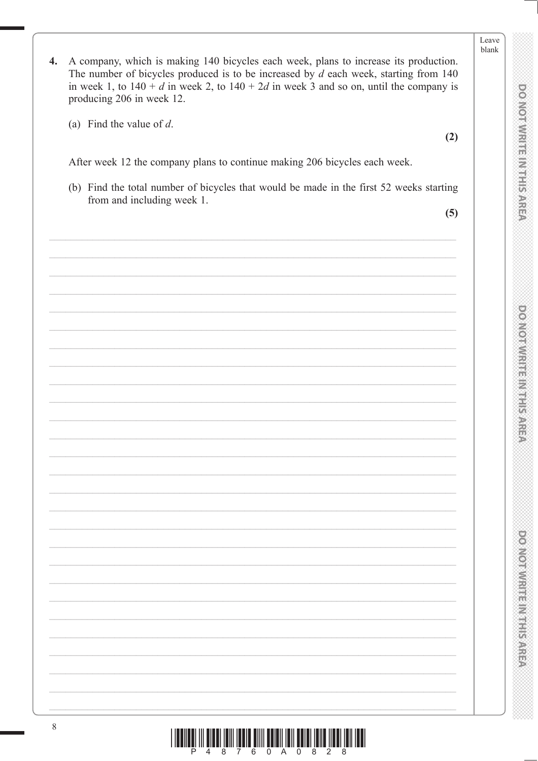- $\overline{4}$ . A company, which is making 140 bicycles each week, plans to increase its production. The number of bicycles produced is to be increased by  $d$  each week, starting from 140 in week 1, to  $140 + d$  in week 2, to  $140 + 2d$  in week 3 and so on, until the company is producing 206 in week 12.
	- (a) Find the value of  $d$ .

After week 12 the company plans to continue making 206 bicycles each week.

(b) Find the total number of bicycles that would be made in the first 52 weeks starting from and including week 1.

 $(5)$ 

 $(2)$ 

Leave blank

**DONOINMRIFE INTERAREA**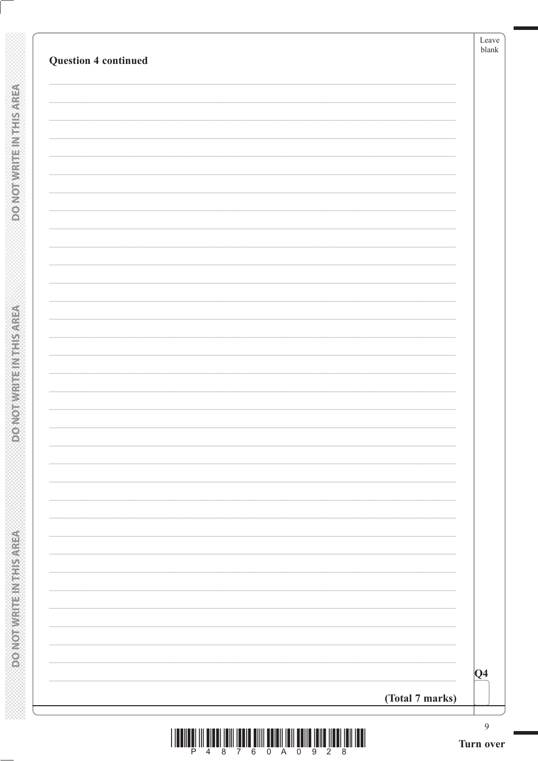| <b>Question 4 continued</b> |                 | Leave<br>$\ensuremath{\textrm{blank}}$ |
|-----------------------------|-----------------|----------------------------------------|
|                             |                 |                                        |
|                             |                 |                                        |
|                             |                 |                                        |
|                             |                 |                                        |
|                             |                 |                                        |
|                             |                 |                                        |
|                             |                 |                                        |
|                             |                 |                                        |
|                             |                 |                                        |
|                             |                 |                                        |
|                             |                 |                                        |
|                             |                 |                                        |
|                             |                 |                                        |
|                             |                 |                                        |
|                             |                 |                                        |
|                             |                 |                                        |
|                             |                 |                                        |
|                             |                 |                                        |
|                             |                 |                                        |
|                             |                 |                                        |
|                             |                 |                                        |
|                             |                 |                                        |
|                             |                 |                                        |
|                             |                 |                                        |
|                             |                 |                                        |
|                             |                 |                                        |
|                             |                 |                                        |
|                             |                 |                                        |
|                             |                 | Q4                                     |
|                             |                 |                                        |
|                             | (Total 7 marks) |                                        |

**DONOTWRITEINTHISAREA** 

**DONOTWRITEIN THIS AREA**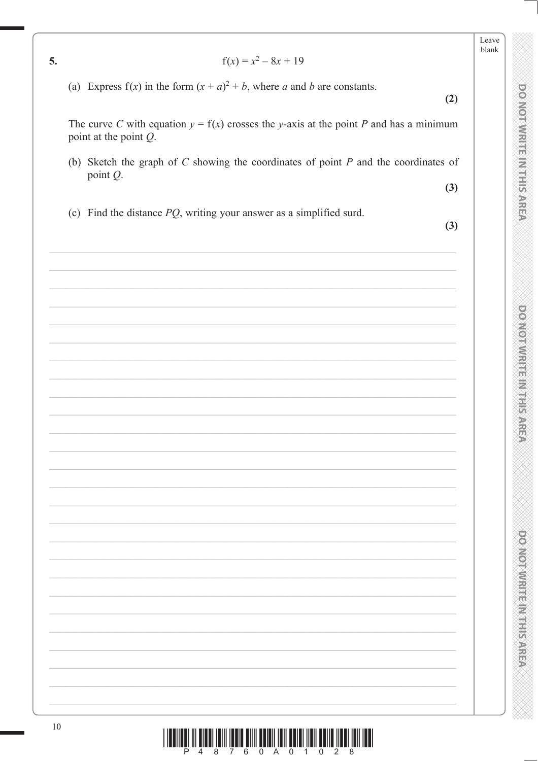5.

### $f(x) = x^2 - 8x + 19$

(a) Express  $f(x)$  in the form  $(x + a)^2 + b$ , where a and b are constants.

 $(2)$ 

Leave blank

**DONOINMRIFE INTERAREA** 

**DOMOTIVIRIENT REPARER** 

DO NOTIVIERINTE IS AREA

The curve C with equation  $y = f(x)$  crosses the y-axis at the point P and has a minimum point at the point  $Q$ .

(b) Sketch the graph of  $C$  showing the coordinates of point  $P$  and the coordinates of point  $Q$ .

 $(3)$ 

(c) Find the distance  $PQ$ , writing your answer as a simplified surd.

 $(3)$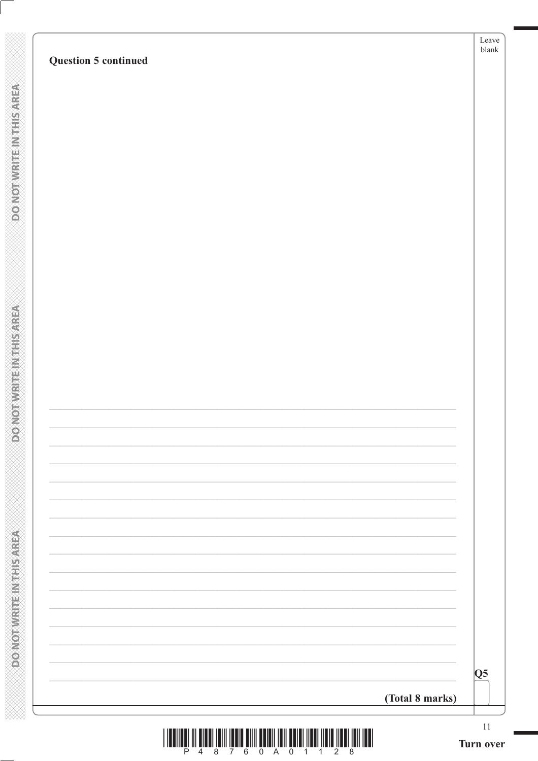# **Question 5 continued**

| <u> I III Martin Martin Martin Martin Martin Martin Martin Martin Martin Martin Martin Martin Martin Martin Marti</u> |                         |  |  |  |  |  |  |
|-----------------------------------------------------------------------------------------------------------------------|-------------------------|--|--|--|--|--|--|
|                                                                                                                       | P 4 8 7 6 0 A 0 1 1 2 8 |  |  |  |  |  |  |

 $\overline{\overline{Q5}}$ 

(Total 8 marks)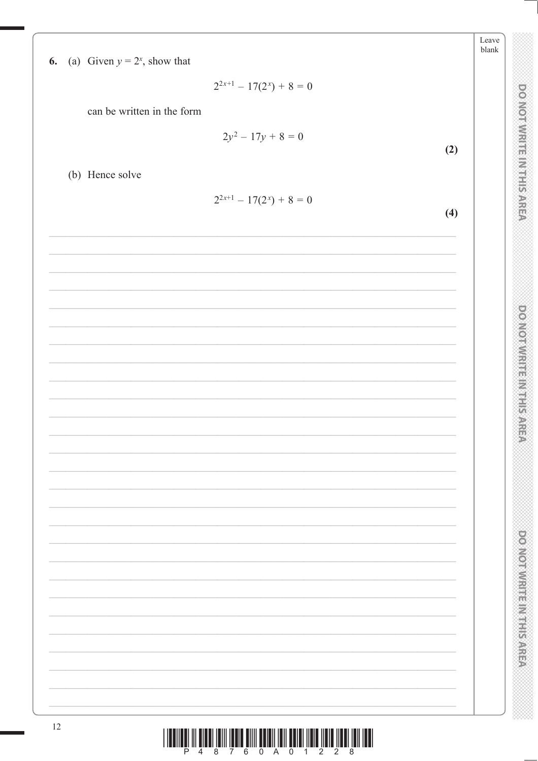| (a) Given $y = 2^x$ , show that<br>6. |                                                                                              | blank                            |
|---------------------------------------|----------------------------------------------------------------------------------------------|----------------------------------|
|                                       | $2^{2x+1} - 17(2^x) + 8 = 0$                                                                 |                                  |
|                                       | can be written in the form                                                                   |                                  |
|                                       | $2y^2 - 17y + 8 = 0$                                                                         | portorWithreman System           |
|                                       |                                                                                              | (2)                              |
| (b) Hence solve                       |                                                                                              |                                  |
|                                       | $2^{2x+1} - 17(2^x) + 8 = 0$                                                                 | (4)                              |
|                                       |                                                                                              |                                  |
|                                       |                                                                                              |                                  |
|                                       |                                                                                              |                                  |
|                                       |                                                                                              |                                  |
|                                       |                                                                                              | <b>DOMORAWRING MARKET STREET</b> |
|                                       |                                                                                              |                                  |
|                                       |                                                                                              |                                  |
|                                       |                                                                                              |                                  |
|                                       |                                                                                              |                                  |
|                                       |                                                                                              |                                  |
|                                       |                                                                                              |                                  |
|                                       |                                                                                              |                                  |
|                                       |                                                                                              |                                  |
|                                       |                                                                                              |                                  |
|                                       |                                                                                              |                                  |
|                                       |                                                                                              |                                  |
|                                       |                                                                                              | <b>DO NORMAL REPORT SYSTEM</b>   |
|                                       |                                                                                              |                                  |
|                                       |                                                                                              |                                  |
|                                       |                                                                                              |                                  |
| 12                                    | <u> I ISOIIEN III OINN INII INNIN MIII OOISI INII OOISI IIDIO IIDIO IIDIO IIDII INII IND</u> |                                  |

Leave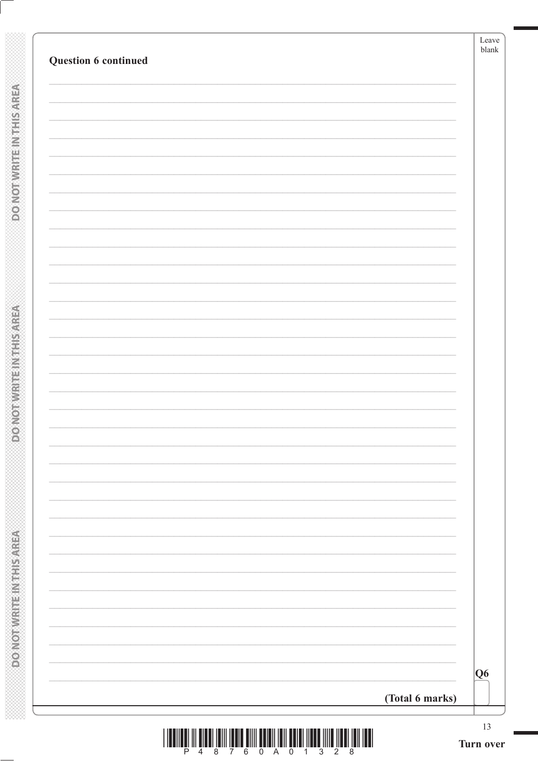| Question 6 continued | Leave<br>blank |
|----------------------|----------------|
|                      |                |
|                      |                |
|                      |                |
|                      |                |
|                      |                |
|                      |                |
|                      |                |
|                      |                |
|                      |                |
|                      |                |
|                      |                |
|                      |                |
|                      |                |
|                      |                |
|                      |                |
|                      |                |
|                      | Q6             |
| (Total 6 marks)      |                |

**DOMOTWRITEINTHIS AREA** 

**DONOTWRITEIN THIS AREA**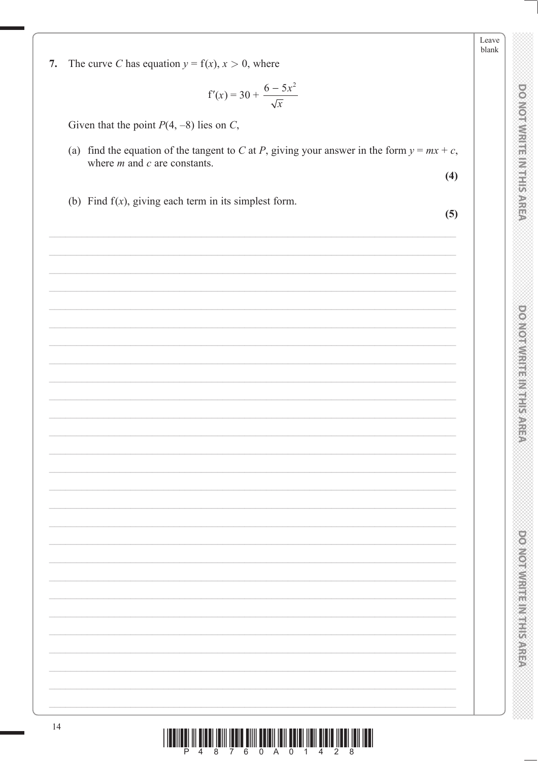The curve C has equation  $y = f(x)$ ,  $x > 0$ , where 7.

$$
f'(x) = 30 + \frac{6 - 5x^2}{\sqrt{x}}
$$

Given that the point  $P(4, -8)$  lies on C,

(a) find the equation of the tangent to C at P, giving your answer in the form  $y = mx + c$ , where  $m$  and  $c$  are constants.

 $(4)$ 

(b) Find  $f(x)$ , giving each term in its simplest form.

 $(5)$ 

**DOMOTWIRTE INTHIS AREA** 

 $\begin{array}{c} \text{if} \ \text{if} \ \text{if} \ \text{if} \ \text{if} \ \text{if} \ \text{if} \ \text{if} \ \text{if} \ \text{if} \ \text{if} \ \text{if} \ \text{if} \ \text{if} \ \text{if} \ \text{if} \ \text{if} \ \text{if} \ \text{if} \ \text{if} \ \text{if} \ \text{if} \ \text{if} \ \text{if} \ \text{if} \ \text{if} \ \text{if} \ \text{if} \ \text{if} \ \text{if} \ \text{if} \ \text{if} \ \text{if} \ \text{if} \ \text{if} \ \text{$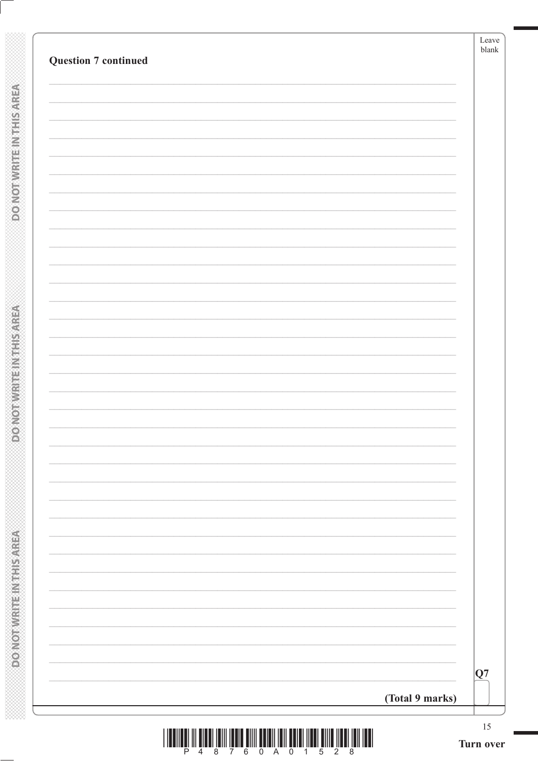| (Total 9 marks)             | $ {\mathrm Q}7$ |
|-----------------------------|-----------------|
|                             |                 |
|                             |                 |
|                             |                 |
|                             |                 |
|                             |                 |
|                             |                 |
|                             |                 |
|                             |                 |
|                             |                 |
|                             |                 |
|                             |                 |
|                             |                 |
|                             |                 |
|                             |                 |
|                             |                 |
|                             |                 |
|                             |                 |
| <b>Question 7 continued</b> |                 |

**DOMOTWRITEINTHIS AREA** 

**ASBASELT METERNALOOD**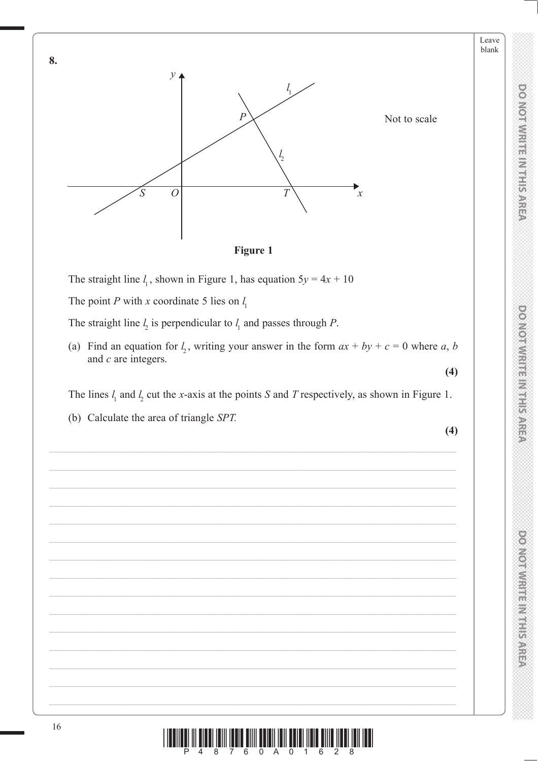Leave blank



The straight line  $l_1$ , shown in Figure 1, has equation  $5y = 4x + 10$ 

The point P with x coordinate 5 lies on  $l_1$ 

The straight line  $l_2$  is perpendicular to  $l_1$  and passes through P.

(a) Find an equation for  $l_1$ , writing your answer in the form  $ax + by + c = 0$  where a, b and  $c$  are integers.  $(4)$ 

The lines  $l_1$  and  $l_2$  cut the x-axis at the points S and T respectively, as shown in Figure 1.

(b) Calculate the area of triangle SPT.

 $(4)$ 

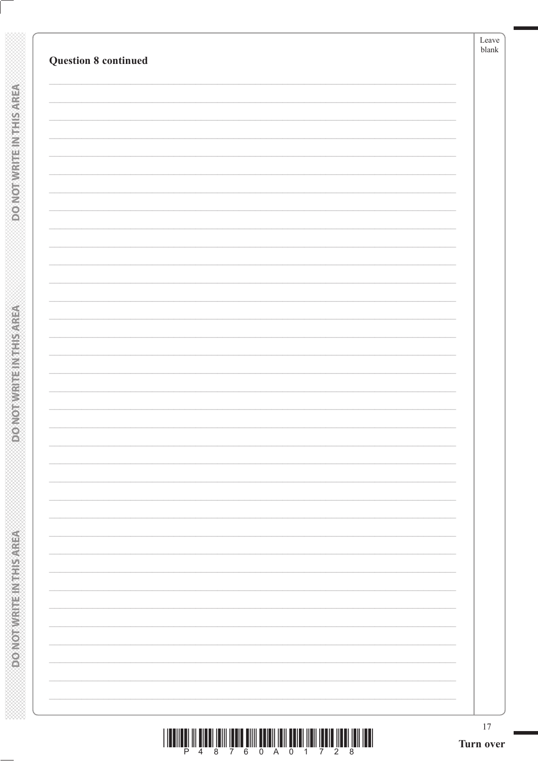| <b>Question 8 continued</b> | Leave<br>$b$ lank |
|-----------------------------|-------------------|
|                             |                   |
|                             |                   |
|                             |                   |
|                             |                   |
|                             |                   |
|                             |                   |
|                             |                   |
|                             |                   |
|                             |                   |
|                             |                   |
|                             |                   |
|                             |                   |
|                             |                   |
|                             |                   |
|                             |                   |
|                             |                   |
|                             |                   |
|                             |                   |
|                             |                   |
|                             |                   |
|                             |                   |
|                             |                   |
|                             |                   |
|                             |                   |
|                             |                   |
|                             |                   |
|                             |                   |
|                             |                   |
|                             |                   |
|                             |                   |
|                             |                   |
|                             |                   |
|                             |                   |
|                             |                   |
|                             |                   |
|                             |                   |
|                             |                   |
|                             |                   |
|                             |                   |
|                             |                   |

**DOMOTWRITEINTHIS AREA** 

**ASSING THE IN THIS AREA**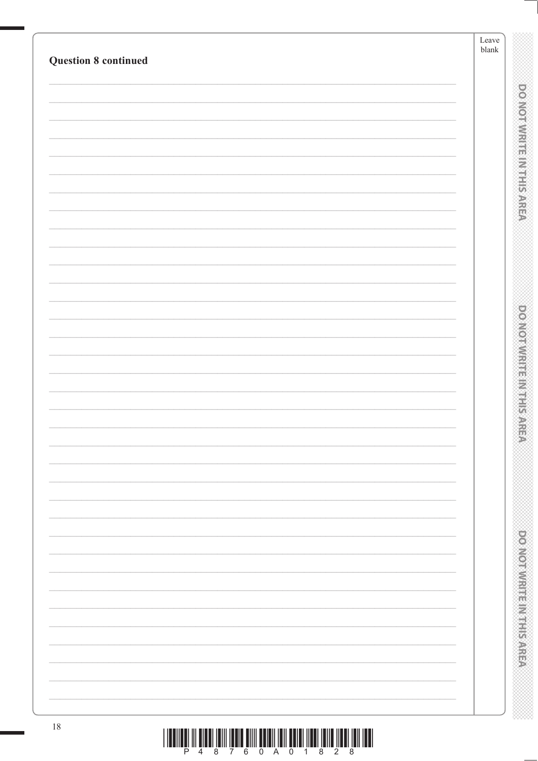| <b>Question 8 continued</b> | Leave<br>$b$ lank |                                |
|-----------------------------|-------------------|--------------------------------|
|                             |                   |                                |
|                             |                   |                                |
|                             |                   | ponomnique muticane            |
|                             |                   |                                |
|                             |                   |                                |
|                             |                   |                                |
|                             |                   |                                |
|                             |                   |                                |
|                             |                   |                                |
|                             |                   |                                |
|                             |                   |                                |
|                             |                   |                                |
|                             |                   | <b>PONDANT LE REGISTRATION</b> |
|                             |                   |                                |
|                             |                   |                                |
|                             |                   |                                |
|                             |                   |                                |
|                             |                   |                                |
|                             |                   |                                |
|                             |                   |                                |
|                             |                   |                                |
|                             |                   |                                |
|                             |                   |                                |
|                             |                   |                                |
|                             |                   |                                |
|                             |                   |                                |
|                             |                   |                                |
|                             |                   |                                |
|                             |                   | <b>PONOVICIAL REPORTS/AREA</b> |
|                             |                   |                                |
|                             |                   |                                |
|                             |                   |                                |
| $18\,$                      |                   |                                |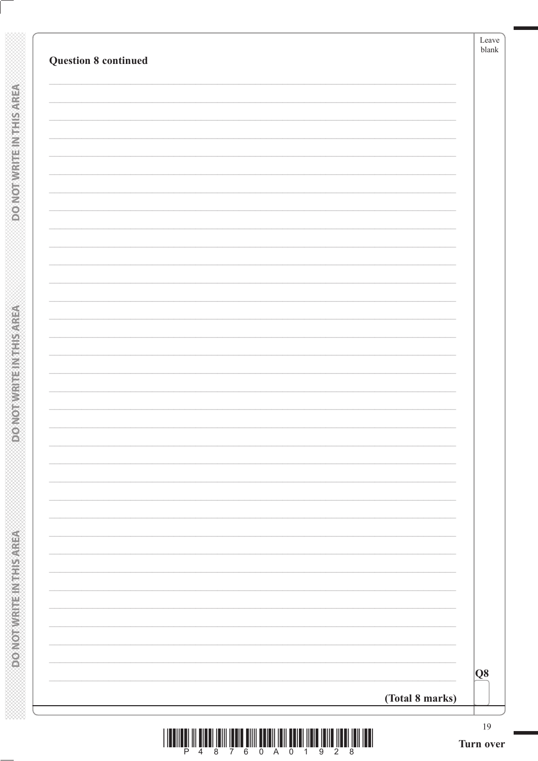| <b>Question 8 continued</b> | Leave<br>blank  |
|-----------------------------|-----------------|
|                             |                 |
|                             |                 |
|                             |                 |
|                             |                 |
|                             |                 |
|                             |                 |
|                             |                 |
|                             |                 |
|                             |                 |
|                             |                 |
|                             |                 |
|                             |                 |
|                             |                 |
|                             |                 |
|                             |                 |
|                             |                 |
|                             | Q8              |
|                             | (Total 8 marks) |

**DOMOTWRITEINTHIS AREA** 

**DONOTWATE IN THIS AREA**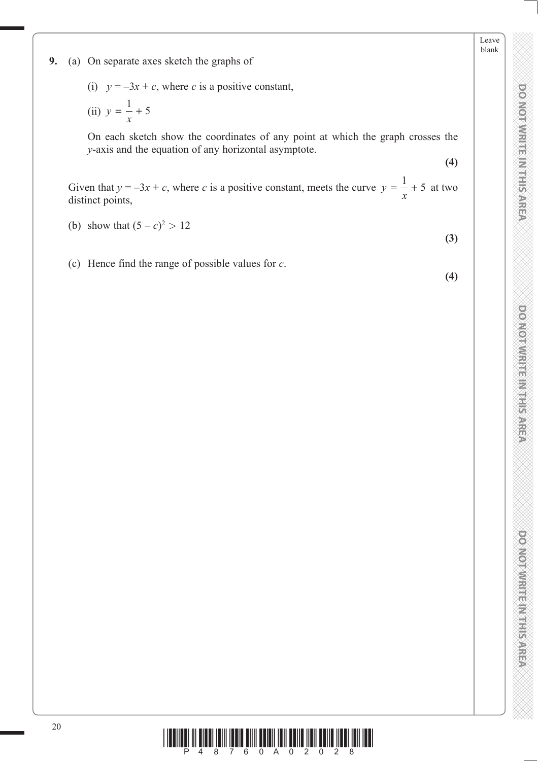Leave blank

- (i)  $y = -3x + c$ , where *c* is a positive constant,
- (ii)  $y = \frac{1}{x} + 5$

 On each sketch show the coordinates of any point at which the graph crosses the *y*-axis and the equation of any horizontal asymptote.

**(4)**

Given that  $y = -3x + c$ , where *c* is a positive constant, meets the curve  $y = \frac{1}{x} + 5$  at two distinct points,

- (b) show that  $(5 c)^2 > 12$
- (c) Hence find the range of possible values for *c*.

**(4)**

**(3)**

**DO NOT WRITE IN THIS AREA DO NOT WRITE IN THIS AREA DO NOT WRITE IN THIS AREA DO NOT WRITE IN THIS AREA DO NOT WRITE IN THIS AREA DO NOT WRITE IN THE AREA DO NOT WRITE IN THE AREA DO NOT WRITE IN THIS AREA DO NOT WRITE IN** 

**DO MORWRITE MITHIS AREA** 

**DO NOTWRITEIN THIS AREA** 

**DOMOTWIRTE INTHIS AREA**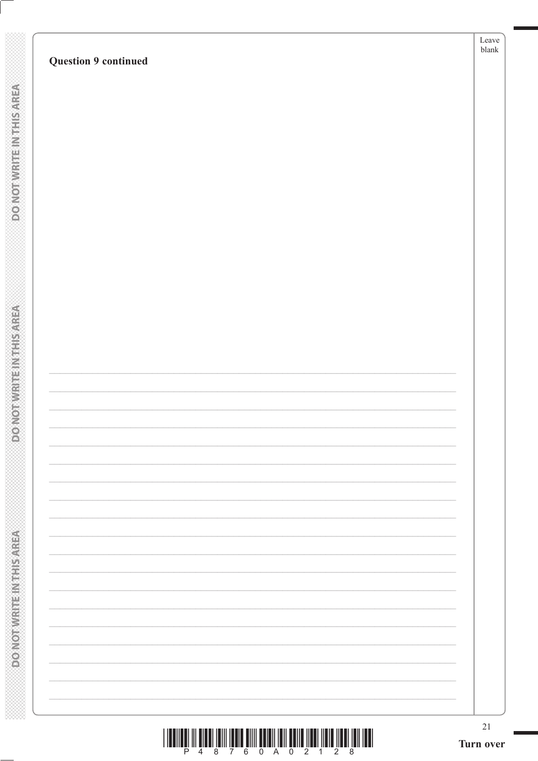|  |        |  | Ê |  |  |
|--|--------|--|---|--|--|
|  |        |  |   |  |  |
|  |        |  |   |  |  |
|  |        |  |   |  |  |
|  |        |  |   |  |  |
|  |        |  |   |  |  |
|  | à,     |  |   |  |  |
|  |        |  |   |  |  |
|  |        |  |   |  |  |
|  |        |  |   |  |  |
|  |        |  |   |  |  |
|  |        |  |   |  |  |
|  |        |  |   |  |  |
|  | ûñ     |  |   |  |  |
|  |        |  |   |  |  |
|  | ₩      |  |   |  |  |
|  |        |  |   |  |  |
|  |        |  |   |  |  |
|  |        |  |   |  |  |
|  |        |  |   |  |  |
|  | a<br>K |  |   |  |  |
|  |        |  |   |  |  |
|  |        |  |   |  |  |
|  |        |  |   |  |  |
|  |        |  | ۰ |  |  |
|  |        |  |   |  |  |
|  |        |  |   |  |  |
|  |        |  |   |  |  |
|  | É      |  |   |  |  |
|  | ř      |  |   |  |  |
|  |        |  |   |  |  |
|  |        |  |   |  |  |
|  |        |  |   |  |  |
|  |        |  | ⊯ |  |  |
|  |        |  |   |  |  |
|  | m      |  |   |  |  |
|  |        |  |   |  |  |
|  | Œ      |  |   |  |  |
|  |        |  |   |  |  |
|  |        |  |   |  |  |
|  |        |  |   |  |  |
|  |        |  |   |  |  |
|  |        |  |   |  |  |
|  |        |  |   |  |  |
|  |        |  |   |  |  |
|  |        |  | ₩ |  |  |
|  |        |  |   |  |  |
|  |        |  |   |  |  |
|  |        |  |   |  |  |
|  |        |  |   |  |  |
|  |        |  |   |  |  |
|  | è<br>Ž |  |   |  |  |
|  |        |  |   |  |  |
|  |        |  |   |  |  |
|  |        |  |   |  |  |
|  |        |  |   |  |  |
|  |        |  |   |  |  |
|  |        |  |   |  |  |
|  |        |  |   |  |  |
|  |        |  |   |  |  |
|  |        |  |   |  |  |

|  |           | D, |         |        |   |
|--|-----------|----|---------|--------|---|
|  |           |    |         |        |   |
|  |           |    |         |        |   |
|  |           |    |         |        |   |
|  |           |    |         |        |   |
|  |           |    |         |        |   |
|  |           |    |         |        |   |
|  |           |    |         |        |   |
|  |           |    |         |        |   |
|  |           |    |         |        |   |
|  |           |    |         |        |   |
|  |           |    |         |        |   |
|  |           |    |         |        |   |
|  | í         |    |         |        |   |
|  |           |    |         |        |   |
|  |           |    |         |        |   |
|  |           |    |         |        |   |
|  |           |    |         |        |   |
|  |           |    |         |        |   |
|  |           |    |         |        |   |
|  |           |    |         |        |   |
|  |           |    |         |        |   |
|  |           |    |         |        |   |
|  |           |    |         |        |   |
|  |           |    |         |        |   |
|  | $\vec{k}$ |    |         |        |   |
|  |           |    |         |        |   |
|  |           |    |         |        |   |
|  |           |    |         |        |   |
|  |           |    |         |        |   |
|  | į         |    |         |        |   |
|  |           |    |         |        |   |
|  | j         |    |         |        |   |
|  |           |    |         |        |   |
|  |           |    |         |        |   |
|  |           |    |         |        |   |
|  |           |    |         |        |   |
|  |           |    |         |        |   |
|  |           |    | k)<br>D |        |   |
|  |           |    |         |        |   |
|  |           |    |         |        |   |
|  |           |    |         |        |   |
|  |           |    |         |        |   |
|  |           |    |         |        |   |
|  |           |    |         |        |   |
|  |           |    |         |        |   |
|  |           |    |         | ्<br>र |   |
|  |           |    |         |        |   |
|  | I         |    |         |        |   |
|  |           |    |         |        |   |
|  |           |    |         |        |   |
|  | į         |    |         |        |   |
|  |           |    |         |        | I |
|  | J         |    |         |        |   |
|  |           |    |         |        |   |
|  |           |    |         |        |   |
|  |           |    |         |        |   |
|  |           |    |         |        |   |
|  | į         |    |         |        |   |
|  |           |    |         |        |   |
|  |           |    |         |        |   |
|  |           |    |         |        |   |
|  |           |    |         |        |   |
|  |           |    |         |        |   |
|  |           |    |         |        |   |
|  |           |    |         |        |   |
|  |           |    |         |        |   |
|  |           |    |         |        |   |

 $\frac{1}{2}$ 

# **DO NOT WRITE IN THIS AREA**

# **Question 9 continued**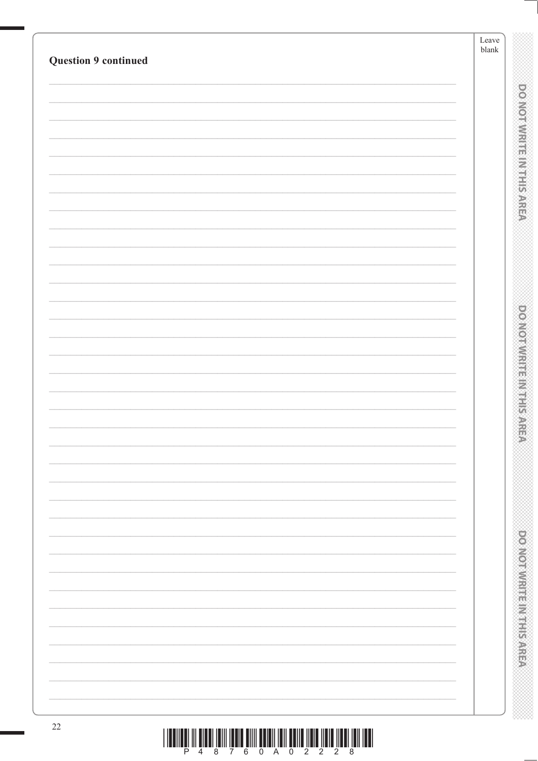|                             | Leave<br>blank |
|-----------------------------|----------------|
| <b>Question 9 continued</b> |                |
|                             |                |
|                             |                |
|                             |                |
|                             |                |
|                             |                |
|                             |                |
|                             |                |
|                             |                |
|                             |                |
|                             |                |
|                             |                |
|                             |                |
|                             |                |
|                             |                |
|                             |                |
|                             |                |
|                             |                |
|                             |                |
|                             |                |
|                             |                |
|                             |                |
|                             |                |
|                             |                |
|                             |                |
|                             |                |
|                             |                |
|                             |                |
|                             |                |
|                             |                |
|                             |                |
|                             |                |
|                             |                |
|                             |                |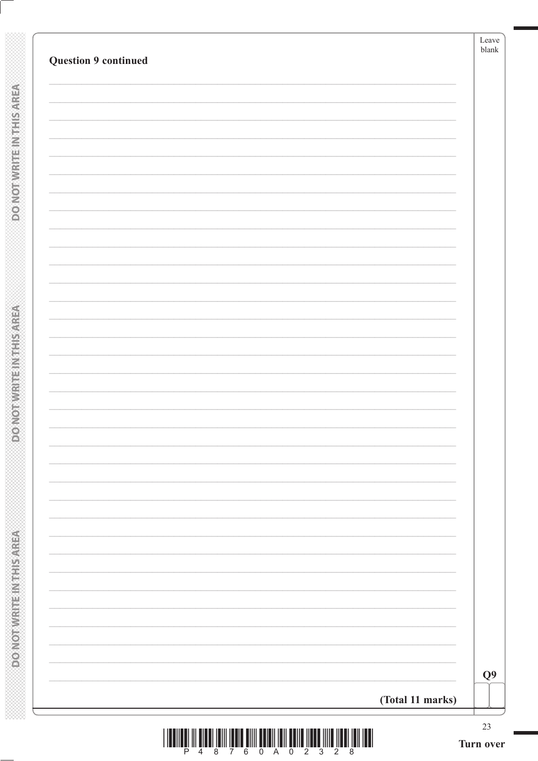| Q <sub>9</sub> |
|----------------|

**DOMOTWRITEINTHIS AREA** 

**DO NOT WRITE IN THIS AREA**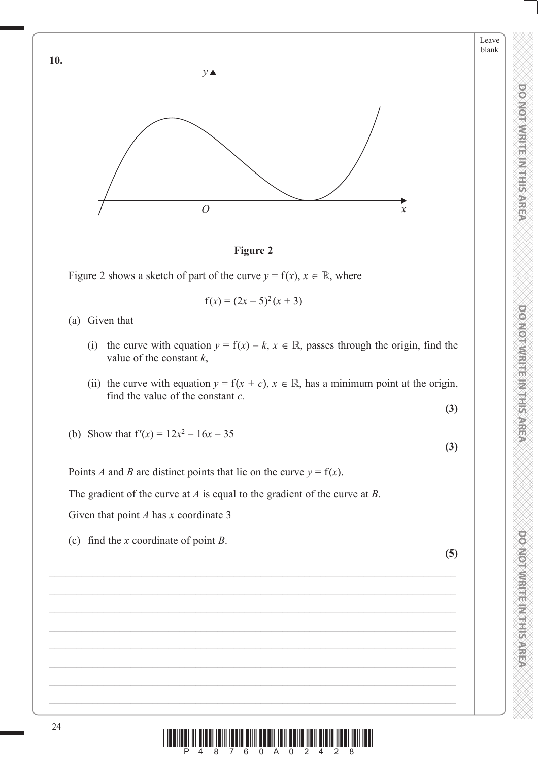



$$
f(x) = (2x - 5)^2 (x + 3)
$$

(a) Given that

- (i) the curve with equation  $y = f(x) k$ ,  $x \in \mathbb{R}$ , passes through the origin, find the value of the constant *k*,
- (ii) the curve with equation  $y = f(x + c)$ ,  $x \in \mathbb{R}$ , has a minimum point at the origin, find the value of the constant *c.*

$$
(\mathbf{3})
$$

**DO NOT WRITE IN THIS AREA DO NOT WRITE IN THIS AREA DO NOT WRITE IN THIS AREA DO NOT WRITE IN THIS AREA DO NOT WRITE IN THIS AREA DO NOT WRITE IN THE AREA DO NOT WRITE IN THE AREA DO NOT WRITE IN THIS AREA DO NOT WRITE IN** 

**DOMOI WRITER WITH SARE** 

**DOMOTIVIRITE IN THIS AREA** 

**DO NOTWRITE INSTEARED** 

Leave blank

(b) Show that  $f'(x) = 12x^2 - 16x - 35$ 

**(3)**

Points *A* and *B* are distinct points that lie on the curve  $y = f(x)$ .

The gradient of the curve at *A* is equal to the gradient of the curve at *B*.

Given that point *A* has *x* coordinate 3

(c) find the *x* coordinate of point *B*.

**(5)**

24  $\frac{1}{2}$   $\frac{1}{4}$   $\frac{1}{8}$   $\frac{1}{7}$   $\frac{1}{6}$   $\frac{1}{8}$   $\frac{1}{2}$   $\frac{1}{4}$   $\frac{1}{2}$   $\frac{1}{4}$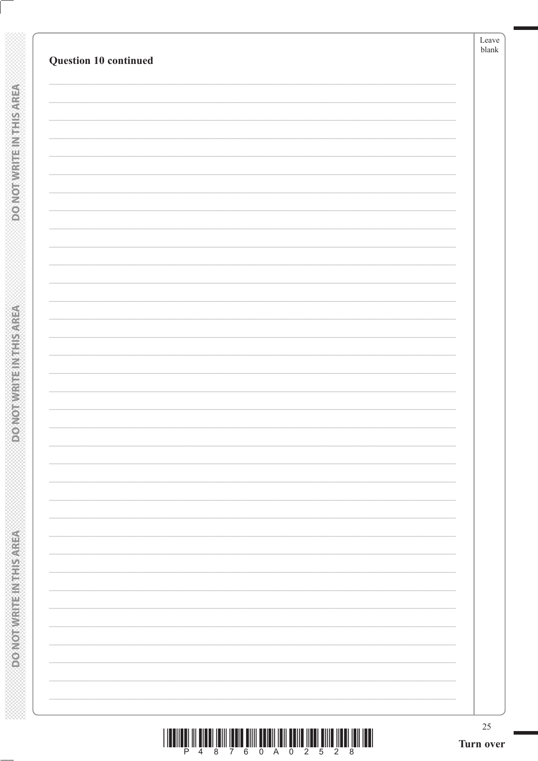**DOMOTWRITEINTHIS AREA** 

**ASSING THE IN THIS AREA**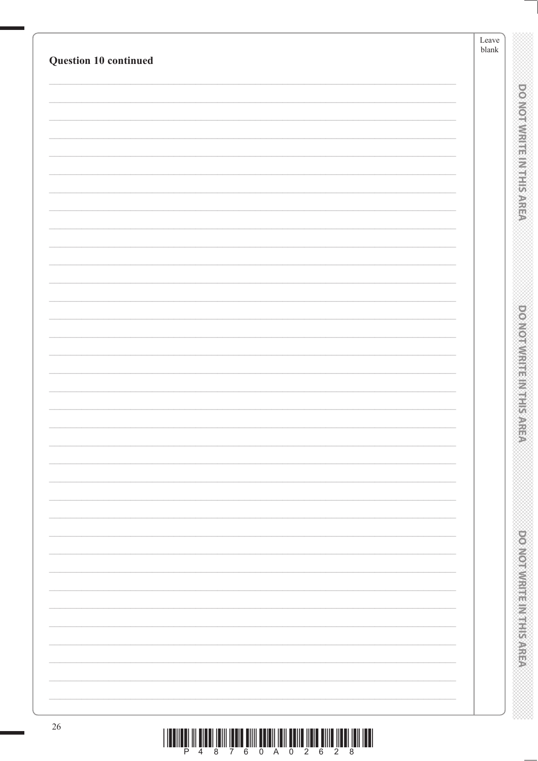| Question 10 continued | Leave<br>blank |                               |
|-----------------------|----------------|-------------------------------|
|                       |                |                               |
|                       |                |                               |
|                       |                | <b>DONOTWREE INTERNATIONS</b> |
|                       |                |                               |
|                       |                |                               |
|                       |                |                               |
|                       |                |                               |
|                       |                |                               |
|                       |                |                               |
|                       |                |                               |
|                       |                |                               |
|                       |                |                               |
|                       |                |                               |
|                       |                | <b>DOMOTOMY EEN MEETING</b>   |
|                       |                |                               |
|                       |                |                               |
|                       |                |                               |
|                       |                |                               |
|                       |                |                               |
|                       |                |                               |
|                       |                |                               |
|                       |                |                               |
|                       |                |                               |
|                       |                |                               |
|                       |                |                               |
|                       |                |                               |
|                       |                |                               |
|                       |                |                               |
|                       |                |                               |
|                       |                |                               |
|                       |                | <b>POWOTAWRED MEETING</b>     |
|                       |                |                               |
|                       |                |                               |
|                       |                |                               |
|                       |                |                               |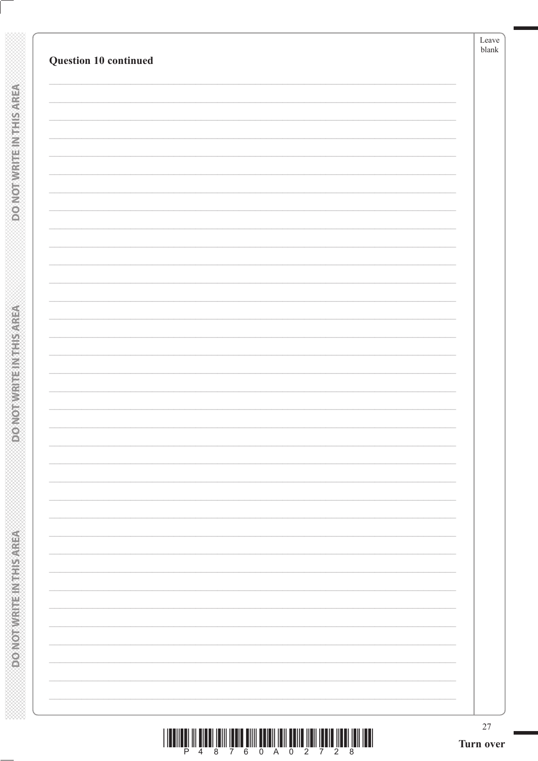|                       | Leave<br>$b$ lank |
|-----------------------|-------------------|
| Question 10 continued |                   |
|                       |                   |
|                       |                   |
|                       |                   |
|                       |                   |
|                       |                   |
|                       |                   |
|                       |                   |
|                       |                   |
|                       |                   |
|                       |                   |
|                       |                   |
|                       |                   |
|                       |                   |
|                       |                   |
|                       |                   |
|                       |                   |
|                       |                   |
|                       |                   |
|                       |                   |
|                       |                   |
|                       |                   |
|                       |                   |
|                       |                   |
|                       |                   |
|                       |                   |
|                       |                   |
|                       |                   |
|                       |                   |
|                       |                   |
|                       |                   |
|                       |                   |
|                       |                   |
|                       |                   |
|                       |                   |
|                       |                   |
|                       |                   |
|                       |                   |
|                       |                   |
|                       |                   |

**DOMOTWRITEINTHIS AREA** 

**ASSING THE IN THIS AREA**